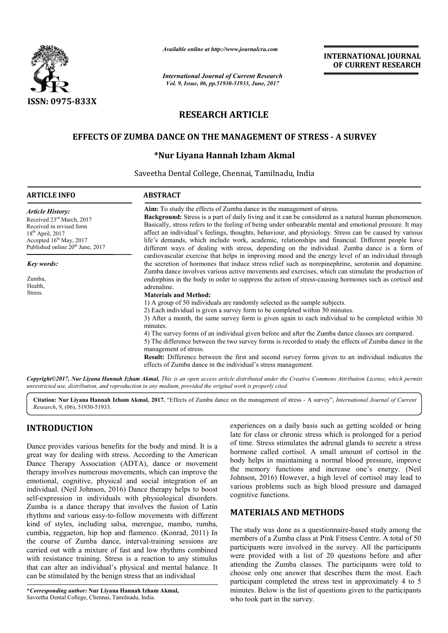

*Available online at http://www.journalcra.com*

# **RESEARCH ARTICLE**

# **EFFECTS OF ZUMBA DANCE ON THE MANAGEMENT OF STRESS EFFECTS - A SURVEY**

# **\*Nur Nur Liyana Hannah Izham Akmal**

|                                                                                                                                                                                                                                                                                                                                                                                                                                                     | л гипионе опите ин пир.// www.journatera.com<br><b>International Journal of Current Research</b><br>Vol. 9, Issue, 06, pp.51930-51933, June, 2017                                                                                                                                                                                                                                                                                                                                                                                                                                                           | <b>INTERNATIONAL JOURNAL</b><br>OF CURRENT RESEARCH                   |                                                                                                                                                                                                                                                                                                                                                                                                                                                                                                                                     |  |  |
|-----------------------------------------------------------------------------------------------------------------------------------------------------------------------------------------------------------------------------------------------------------------------------------------------------------------------------------------------------------------------------------------------------------------------------------------------------|-------------------------------------------------------------------------------------------------------------------------------------------------------------------------------------------------------------------------------------------------------------------------------------------------------------------------------------------------------------------------------------------------------------------------------------------------------------------------------------------------------------------------------------------------------------------------------------------------------------|-----------------------------------------------------------------------|-------------------------------------------------------------------------------------------------------------------------------------------------------------------------------------------------------------------------------------------------------------------------------------------------------------------------------------------------------------------------------------------------------------------------------------------------------------------------------------------------------------------------------------|--|--|
|                                                                                                                                                                                                                                                                                                                                                                                                                                                     |                                                                                                                                                                                                                                                                                                                                                                                                                                                                                                                                                                                                             |                                                                       |                                                                                                                                                                                                                                                                                                                                                                                                                                                                                                                                     |  |  |
| ISSN: 0975-833X                                                                                                                                                                                                                                                                                                                                                                                                                                     |                                                                                                                                                                                                                                                                                                                                                                                                                                                                                                                                                                                                             | <b>RESEARCH ARTICLE</b>                                               |                                                                                                                                                                                                                                                                                                                                                                                                                                                                                                                                     |  |  |
|                                                                                                                                                                                                                                                                                                                                                                                                                                                     |                                                                                                                                                                                                                                                                                                                                                                                                                                                                                                                                                                                                             |                                                                       |                                                                                                                                                                                                                                                                                                                                                                                                                                                                                                                                     |  |  |
|                                                                                                                                                                                                                                                                                                                                                                                                                                                     | <b>EFFECTS OF ZUMBA DANCE ON THE MANAGEMENT OF STRESS - A SURVEY</b>                                                                                                                                                                                                                                                                                                                                                                                                                                                                                                                                        |                                                                       |                                                                                                                                                                                                                                                                                                                                                                                                                                                                                                                                     |  |  |
|                                                                                                                                                                                                                                                                                                                                                                                                                                                     |                                                                                                                                                                                                                                                                                                                                                                                                                                                                                                                                                                                                             | *Nur Liyana Hannah Izham Akmal                                        |                                                                                                                                                                                                                                                                                                                                                                                                                                                                                                                                     |  |  |
|                                                                                                                                                                                                                                                                                                                                                                                                                                                     | Saveetha Dental College, Chennai, Tamilnadu, India                                                                                                                                                                                                                                                                                                                                                                                                                                                                                                                                                          |                                                                       |                                                                                                                                                                                                                                                                                                                                                                                                                                                                                                                                     |  |  |
| <b>ARTICLE INFO</b>                                                                                                                                                                                                                                                                                                                                                                                                                                 | <b>ABSTRACT</b>                                                                                                                                                                                                                                                                                                                                                                                                                                                                                                                                                                                             |                                                                       |                                                                                                                                                                                                                                                                                                                                                                                                                                                                                                                                     |  |  |
| <b>Article History:</b><br>Received 23rd March, 2017<br>Received in revised form<br>18 <sup>th</sup> April, 2017<br>Accepted 16th May, 2017<br>Published online 20 <sup>th</sup> June, 2017                                                                                                                                                                                                                                                         |                                                                                                                                                                                                                                                                                                                                                                                                                                                                                                                                                                                                             | Aim: To study the effects of Zumba dance in the management of stress. | <b>Background:</b> Stress is a part of daily living and it can be considered as a natural human phenomenon.<br>Basically, stress refers to the feeling of being under unbearable mental and emotional pressure. It may<br>affect an individual's feelings, thoughts, behaviour, and physiology. Stress can be caused by various<br>life's demands, which include work, academic, relationships and financial. Different people have<br>different ways of dealing with stress, depending on the individual. Zumba dance is a form of |  |  |
| Key words:                                                                                                                                                                                                                                                                                                                                                                                                                                          |                                                                                                                                                                                                                                                                                                                                                                                                                                                                                                                                                                                                             |                                                                       | cardiovascular exercise that helps in improving mood and the energy level of an individual through<br>the secretion of hormones that induce stress relief such as norepinephrine, serotonin and dopamine.                                                                                                                                                                                                                                                                                                                           |  |  |
| Zumba,<br>Health,<br>Stress.                                                                                                                                                                                                                                                                                                                                                                                                                        | Zumba dance involves various active movements and exercises, which can stimulate the production of<br>endorphins in the body in order to suppress the action of stress-causing hormones such as cortisol and<br>adrenaline.<br><b>Materials and Method:</b><br>1) A group of 50 individuals are randomly selected as the sample subjects.                                                                                                                                                                                                                                                                   |                                                                       |                                                                                                                                                                                                                                                                                                                                                                                                                                                                                                                                     |  |  |
|                                                                                                                                                                                                                                                                                                                                                                                                                                                     | 2) Each individual is given a survey form to be completed within 30 minutes.<br>3) After a month, the same survey form is given again to each individual to be completed within 30<br>minutes.<br>4) The survey forms of an individual given before and after the Zumba dance classes are compared.<br>5) The difference between the two survey forms is recorded to study the effects of Zumba dance in the<br>management of stress.<br>Result: Difference between the first and second survey forms given to an individual indicates the<br>effects of Zumba dance in the individual's stress management. |                                                                       |                                                                                                                                                                                                                                                                                                                                                                                                                                                                                                                                     |  |  |
|                                                                                                                                                                                                                                                                                                                                                                                                                                                     | unrestricted use, distribution, and reproduction in any medium, provided the original work is properly cited.                                                                                                                                                                                                                                                                                                                                                                                                                                                                                               |                                                                       | Copyright©2017, Nur Liyana Hannah Izham Akmal. This is an open access article distributed under the Creative Commons Attribution License, which permits                                                                                                                                                                                                                                                                                                                                                                             |  |  |
| Research, 9, (06), 51930-51933.                                                                                                                                                                                                                                                                                                                                                                                                                     |                                                                                                                                                                                                                                                                                                                                                                                                                                                                                                                                                                                                             |                                                                       | Citation: Nur Liyana Hannah Izham Akmal, 2017. "Effects of Zumba dance on the management of stress - A survey", International Journal of Current                                                                                                                                                                                                                                                                                                                                                                                    |  |  |
| <b>INTRODUCTION</b>                                                                                                                                                                                                                                                                                                                                                                                                                                 |                                                                                                                                                                                                                                                                                                                                                                                                                                                                                                                                                                                                             |                                                                       | experiences on a daily basis such as getting scolded or being                                                                                                                                                                                                                                                                                                                                                                                                                                                                       |  |  |
| Dance provides various benefits for the body and mind. It is a<br>great way for dealing with stress. According to the American<br>Dance Therapy Association (ADTA), dance or movement<br>therapy involves numerous movements, which can improve the<br>emotional, cognitive, physical and social integration of an<br>individual. (Neil Johnson, 2016) Dance therapy helps to boost<br>self-expression in individuals with physiological disorders. |                                                                                                                                                                                                                                                                                                                                                                                                                                                                                                                                                                                                             | cognitive functions.                                                  | late for class or chronic stress which is prolonged for a period<br>of time. Stress stimulates the adrenal glands to secrete a stress<br>hormone called cortisol. A small amount of cortisol in the<br>body helps in maintaining a normal blood pressure, improve<br>the memory functions and increase one's energy. (Neil<br>Johnson, 2016) However, a high level of cortisol may lead to<br>various problems such as high blood pressure and damaged                                                                              |  |  |
| Zumba is a dance therapy that involves the fusion of Latin<br>rhythms and various easy-to-follow movements with different                                                                                                                                                                                                                                                                                                                           |                                                                                                                                                                                                                                                                                                                                                                                                                                                                                                                                                                                                             | <b>MATERIALS AND METHODS</b>                                          |                                                                                                                                                                                                                                                                                                                                                                                                                                                                                                                                     |  |  |
| kind of styles, including salsa, merengue, mambo, rumba,<br>cumbia, reggaeton, hip hop and flamenco. (Konrad, 2011) In<br>the course of Zumba dance, interval-training sessions are<br>carried out with a mixture of fast and low rhythms combined<br>with resistance training. Stress is a reaction to any stimulus<br>that can alter an individual's physical and mental balance. It<br>can be stimulated by the benign stress that an individual |                                                                                                                                                                                                                                                                                                                                                                                                                                                                                                                                                                                                             |                                                                       | The study was done as a questionnaire-based study among the<br>members of a Zumba class at Pink Fitness Centre. A total of 50<br>participants were involved in the survey. All the participants<br>were provided with a list of 20 questions before and after<br>attending the Zumba classes. The participants were told to<br>choose only one answer that describes them the most. Each<br>participant completed the stress test in approximately 4 to 5                                                                           |  |  |
| *Corresponding author: Nur Liyana Hannah Izham Akmal,                                                                                                                                                                                                                                                                                                                                                                                               |                                                                                                                                                                                                                                                                                                                                                                                                                                                                                                                                                                                                             |                                                                       | minutes. Below is the list of questions given to the participants                                                                                                                                                                                                                                                                                                                                                                                                                                                                   |  |  |

# **INTRODUCTION**

**\****Corresponding author:* **Nur Liyana Hannah Izham Akmal,** Saveetha Dental College, Chennai, Tamilnadu, India.

# **MATERIALS AND METHODS**

The study was done as a questionnaire-based study among the members of a Zumba class at Pink Fitness Centre. A total of 50 participants were involved in the survey. All the participants were provided with a list of 20 questions before and after attending the Zumba classes. The participants were told to choose only one answer that describes them the most. Each participant completed the stress test in approximately 4 to 5 minutes. Below is the list of questions given to the participants who took part in the survey. were involved in the survey. All the participants<br>ed with a list of 20 questions before and after<br>e Zumba classes. The participants were told to<br>one answer that describes them the most. Each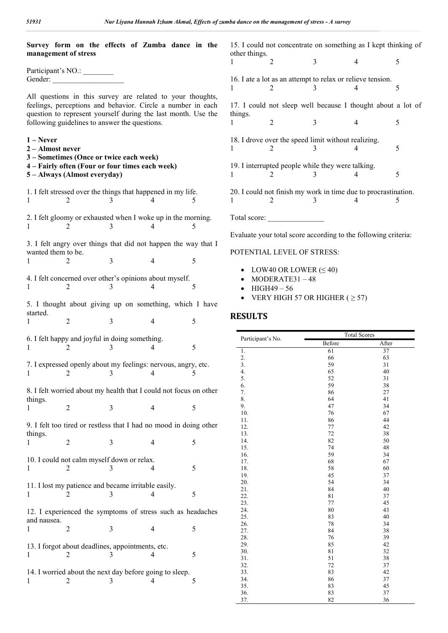| Survey form on the effects of Zumba dance in the                       |                |                |   |                         | 15. I could not concentrate on something as I kept thinking of           |          |
|------------------------------------------------------------------------|----------------|----------------|---|-------------------------|--------------------------------------------------------------------------|----------|
| management of stress                                                   |                |                |   | other things.<br>2<br>1 | $\overline{3}$<br>$\overline{4}$                                         | 5        |
| Participant's NO.:                                                     |                |                |   |                         |                                                                          |          |
|                                                                        |                |                |   | 1<br>2                  | 16. I ate a lot as an attempt to relax or relieve tension.<br>3<br>4     | 5        |
| All questions in this survey are related to your thoughts,             |                |                |   |                         |                                                                          |          |
| feelings, perceptions and behavior. Circle a number in each            |                |                |   |                         | 17. I could not sleep well because I thought about a lot of              |          |
| question to represent yourself during the last month. Use the          |                |                |   | things.                 |                                                                          |          |
| following guidelines to answer the questions.                          |                |                |   | $\overline{2}$<br>1     | 3<br>$\overline{4}$                                                      | 5        |
| $1 - Never$                                                            |                |                |   |                         | 18. I drove over the speed limit without realizing.                      |          |
| 2 – Almost never                                                       |                |                |   | 1<br>2                  | 3<br>4                                                                   | 5        |
| 3 – Sometimes (Once or twice each week)                                |                |                |   |                         |                                                                          |          |
| 4 – Fairly often (Four or four times each week)                        |                |                |   | $\mathbf{1}$<br>2       | 19. I interrupted people while they were talking.<br>$\overline{4}$<br>3 |          |
| 5 - Always (Almost everyday)                                           |                |                |   |                         |                                                                          | 5        |
| 1. I felt stressed over the things that happened in my life.           |                |                |   |                         | 20. I could not finish my work in time due to procrastination.           |          |
| $\mathbf{1}$<br>2                                                      | 3              | 4              | 5 | $\mathbf{1}$<br>2       | 4<br>3                                                                   | 5        |
|                                                                        |                |                |   |                         |                                                                          |          |
| 2. I felt gloomy or exhausted when I woke up in the morning.<br>2<br>1 | 3              |                | 5 | Total score:            |                                                                          |          |
|                                                                        |                |                |   |                         | Evaluate your total score according to the following criteria:           |          |
| 3. I felt angry over things that did not happen the way that I         |                |                |   |                         |                                                                          |          |
| wanted them to be.                                                     |                |                |   |                         | POTENTIAL LEVEL OF STRESS:                                               |          |
| 2                                                                      | 3              | $\overline{4}$ | 5 |                         |                                                                          |          |
| 4. I felt concerned over other's opinions about myself.                |                |                |   |                         | • LOW40 OR LOWER $(\leq 40)$<br>$MODERATE31-48$                          |          |
| 2<br>1                                                                 | 3              | 4              | 5 | HIGH49-56               |                                                                          |          |
|                                                                        |                |                |   |                         | • VERY HIGH 57 OR HIGHER ( $\geq$ 57)                                    |          |
| 5. I thought about giving up on something, which I have                |                |                |   |                         |                                                                          |          |
| started.<br>2                                                          | $\mathfrak{Z}$ | $\overline{4}$ | 5 | <b>RESULTS</b>          |                                                                          |          |
|                                                                        |                |                |   |                         | <b>Total Scores</b>                                                      |          |
| 6. I felt happy and joyful in doing something.                         |                |                |   | Participant's No.       | Before                                                                   | After    |
| 1                                                                      | 3              | 4              | 5 | 1.                      | 61                                                                       | 37       |
| 7. I expressed openly about my feelings: nervous, angry, etc.          |                |                |   | 2.<br>3.                | 66<br>59                                                                 | 63<br>31 |
| 2                                                                      | 3              | $\overline{4}$ | 5 | 4.                      | 65                                                                       | 40       |
|                                                                        |                |                |   | 5.<br>6.                | 52<br>59                                                                 | 31<br>38 |
| 8. I felt worried about my health that I could not focus on other      |                |                |   | 7.                      | 86                                                                       | 27       |
| things.<br>$\sqrt{2}$<br>1                                             | 3              | $\overline{4}$ | 5 | 8.<br>9.                | 64<br>47                                                                 | 41<br>34 |
|                                                                        |                |                |   | 10.                     | 76                                                                       | 67       |
| 9. I felt too tired or restless that I had no mood in doing other      |                |                |   | 11.<br>12.              | 86<br>77                                                                 | 44<br>42 |
| things.                                                                |                |                |   | 13.<br>14.              | 72<br>82                                                                 | 38<br>50 |
| 2                                                                      | 3              | 4              | 5 | 15.                     | 74                                                                       | 48       |
| 10. I could not calm myself down or relax.                             |                |                |   | 16.<br>17.              | 59<br>68                                                                 | 34<br>67 |
| 1<br>2                                                                 | 3              | 4              | 5 | 18.                     | 58                                                                       | 60       |
|                                                                        |                |                |   | 19.<br>20.              | 45<br>54                                                                 | 37<br>34 |
| 11. I lost my patience and became irritable easily.                    |                |                |   | 21.                     | 84                                                                       | 40       |
| 1<br>2                                                                 | 3              | 4              | 5 | 22.<br>23.              | 81<br>77                                                                 | 37<br>45 |
| 12. I experienced the symptoms of stress such as headaches             |                |                |   | 24.                     | 80                                                                       | 43       |
| and nausea.                                                            |                |                |   | 25.<br>26.              | 83<br>78                                                                 | 40<br>34 |
| $\sqrt{2}$<br>1                                                        | 3              | 4              | 5 | 27.                     | 84                                                                       | 38       |
| 13. I forgot about deadlines, appointments, etc.                       |                |                |   | 28.<br>29.              | 76<br>85                                                                 | 39<br>42 |
| 1                                                                      | 3              | 4              | 5 | 30.                     | 81                                                                       | 32       |
|                                                                        |                |                |   | 31.<br>32.              | 51<br>72                                                                 | 38<br>37 |
| 14. I worried about the next day before going to sleep.                |                |                |   | 33.                     | 83                                                                       | 42       |
| 2                                                                      | 3              | 4              | 5 | 34.                     | 86                                                                       | 37       |

35. 83 45 36. 83 37 37. 82 36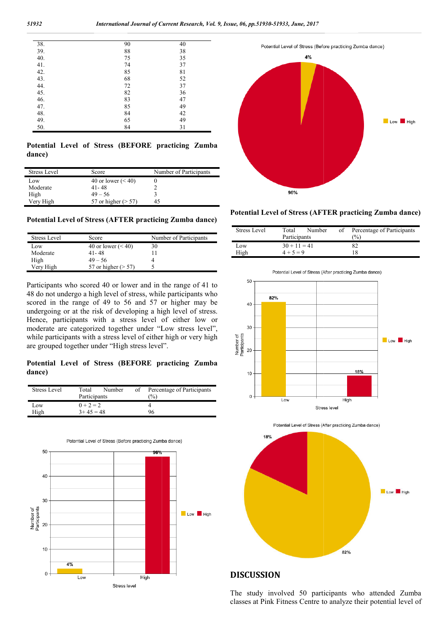|    | 40 |
|----|----|
| 88 | 38 |
| 75 | 35 |
| 74 | 37 |
| 85 | 81 |
| 68 | 52 |
| 72 | 37 |
| 82 | 36 |
| 83 | 47 |
| 85 | 49 |
| 84 | 42 |
| 65 | 49 |
| 84 | 31 |
|    | 90 |

**Potential Level of Stress (BEFORE practicing Zumba dance)** 

| <b>Stress Level</b> | Score                  | Number of Participants |
|---------------------|------------------------|------------------------|
| Low                 | 40 or lower $(< 40$ )  |                        |
| Moderate            | $41 - 48$              |                        |
| High                | $49 - 56$              |                        |
| Very High           | 57 or higher $($ > 57) | 45                     |

**Potential Level of Stress (AFTER practicing Zumba dance)**

| Stress Level | Score                  | Number of Participants |
|--------------|------------------------|------------------------|
| Low          | 40 or lower $(< 40$ )  | 30                     |
| Moderate     | $41 - 48$              |                        |
| High         | $49 - 56$              |                        |
| Very High    | 57 or higher $($ > 57) |                        |

Participants who scored 40 or lower and in the range of 41 to 48 do not undergo a high level of stress, while participants who scored in the range of 49 to 56 and 57 or higher may be undergoing or at the risk of developing a high level of stress. Hence, participants with a stress level of either low or moderate are categorized together under "Low stress level", while participants with a stress level of either high or very high are grouped together under "High stress level".

**Potential Level of Stress (BEFORE practicing Zumba dance)**

| Stress Level | Number<br>Total | οf | Percentage of Participants |
|--------------|-----------------|----|----------------------------|
|              | Participants    |    | $\binom{0}{0}$             |
| Low          | $0 + 2 = 2$     |    |                            |
| High         | $3+45=48$       |    | 96                         |







| Stress Level | Total          | Number | of | Percentage of Participants |
|--------------|----------------|--------|----|----------------------------|
|              | Participants   |        |    | $\frac{1}{2}$              |
| Low          | $30 + 11 = 41$ |        |    | 82                         |
| High         | $4 + 5 = 9$    |        |    | 18                         |









### **DISCUSSION**

The study involved 50 participants who attended Zumba The study involved 50 participants who attended Zumba classes at Pink Fitness Centre to analyze their potential level of